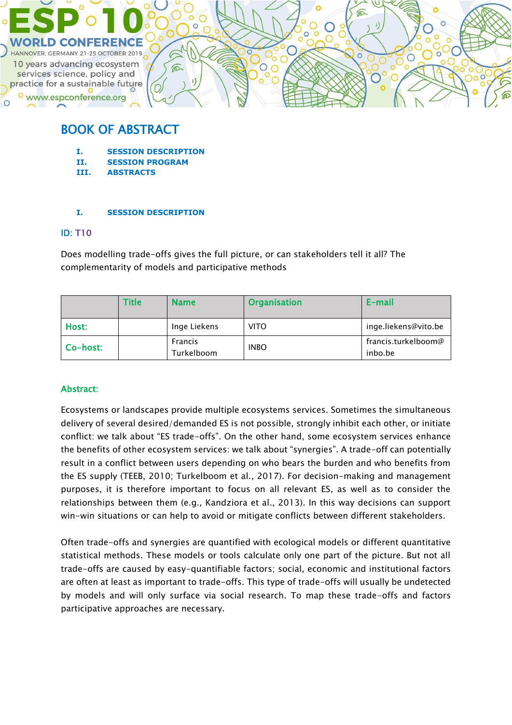

# BOOK OF ABSTRACT

- **I. SESSION DESCRIPTION**
- **II. SESSION PROGRAM**
- **III. ABSTRACTS**

## **I. SESSION DESCRIPTION**

#### ID: T10

Does modelling trade-offs gives the full picture, or can stakeholders tell it all? The complementarity of models and participative methods

|          | Fitle | <b>Name</b>                  | <b>Organisation</b> | E-mail                         |
|----------|-------|------------------------------|---------------------|--------------------------------|
| Host:    |       | Inge Liekens                 | <b>VITO</b>         | inge.liekens@vito.be           |
| Co-host: |       | <b>Francis</b><br>Turkelboom | <b>INBO</b>         | francis.turkelboom@<br>inbo.be |

# Abstract:

Ecosystems or landscapes provide multiple ecosystems services. Sometimes the simultaneous delivery of several desired/demanded ES is not possible, strongly inhibit each other, or initiate conflict: we talk about "ES trade-offs". On the other hand, some ecosystem services enhance the benefits of other ecosystem services: we talk about "synergies". A trade-off can potentially result in a conflict between users depending on who bears the burden and who benefits from the ES supply (TEEB, 2010; Turkelboom et al., 2017). For decision-making and management purposes, it is therefore important to focus on all relevant ES, as well as to consider the relationships between them (e.g., Kandziora et al., 2013). In this way decisions can support win-win situations or can help to avoid or mitigate conflicts between different stakeholders.

Often trade-offs and synergies are quantified with ecological models or different quantitative statistical methods. These models or tools calculate only one part of the picture. But not all trade-offs are caused by easy-quantifiable factors; social, economic and institutional factors are often at least as important to trade-offs. This type of trade-offs will usually be undetected by models and will only surface via social research. To map these trade-offs and factors participative approaches are necessary.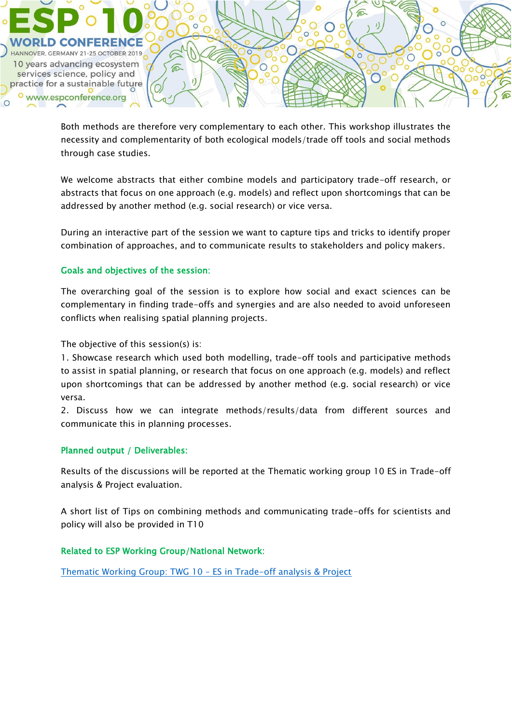

Both methods are therefore very complementary to each other. This workshop illustrates the necessity and complementarity of both ecological models/trade off tools and social methods through case studies.

We welcome abstracts that either combine models and participatory trade-off research, or abstracts that focus on one approach (e.g. models) and reflect upon shortcomings that can be addressed by another method (e.g. social research) or vice versa.

During an interactive part of the session we want to capture tips and tricks to identify proper combination of approaches, and to communicate results to stakeholders and policy makers.

## Goals and objectives of the session:

The overarching goal of the session is to explore how social and exact sciences can be complementary in finding trade-offs and synergies and are also needed to avoid unforeseen conflicts when realising spatial planning projects.

The objective of this session(s) is:

1. Showcase research which used both modelling, trade-off tools and participative methods to assist in spatial planning, or research that focus on one approach (e.g. models) and reflect upon shortcomings that can be addressed by another method (e.g. social research) or vice versa.

2. Discuss how we can integrate methods/results/data from different sources and communicate this in planning processes.

## Planned output / Deliverables:

Results of the discussions will be reported at the Thematic working group 10 ES in Trade-off analysis & Project evaluation.

A short list of Tips on combining methods and communicating trade-offs for scientists and policy will also be provided in T10

## Related to ESP Working Group/National Network:

[Thematic Working Group: TWG 10](https://www.es-partnership.org/community/workings-groups/thematic-working-groups/twg-10-trade-off-analysis-project-evaluation/) – ES in Trade-off analysis & Project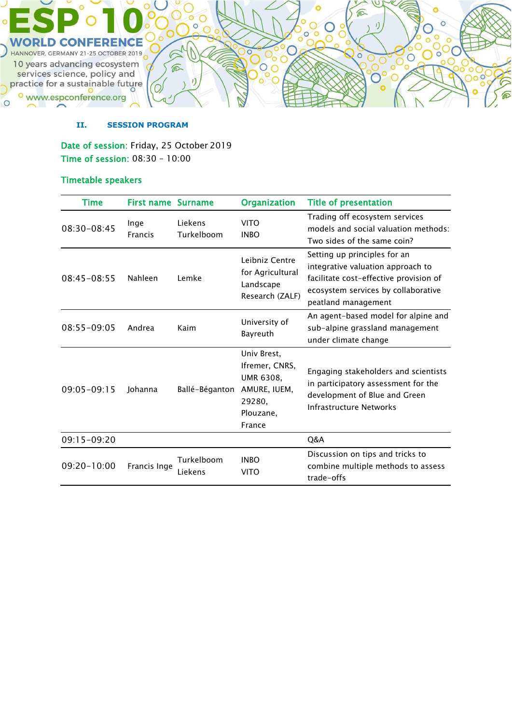

#### **II. SESSION PROGRAM**

Date of session: Friday, 25 October 2019 Time of session: 08:30 – 10:00

# Timetable speakers

<sup>o</sup> www.espconference.org

 $\circ$ 

| Time            | <b>First name Surname</b> |                       | <b>Organization</b>                                                                                | <b>Title of presentation</b>                                                                                                                                              |
|-----------------|---------------------------|-----------------------|----------------------------------------------------------------------------------------------------|---------------------------------------------------------------------------------------------------------------------------------------------------------------------------|
| 08:30-08:45     | Inge<br><b>Francis</b>    | Liekens<br>Turkelboom | <b>VITO</b><br><b>INBO</b>                                                                         | Trading off ecosystem services<br>models and social valuation methods:<br>Two sides of the same coin?                                                                     |
| $08:45-08:55$   | Nahleen                   | Lemke                 | Leibniz Centre<br>for Agricultural<br>Landscape<br>Research (ZALF)                                 | Setting up principles for an<br>integrative valuation approach to<br>facilitate cost-effective provision of<br>ecosystem services by collaborative<br>peatland management |
| 08:55-09:05     | Andrea                    | Kaim                  | University of<br>Bayreuth                                                                          | An agent-based model for alpine and<br>sub-alpine grassland management<br>under climate change                                                                            |
| $09:05 - 09:15$ | Johanna                   | Ballé-Béganton        | Univ Brest,<br>Ifremer, CNRS,<br><b>UMR 6308,</b><br>AMURE, IUEM,<br>29280,<br>Plouzane,<br>France | Engaging stakeholders and scientists<br>in participatory assessment for the<br>development of Blue and Green<br>Infrastructure Networks                                   |
| 09:15-09:20     |                           |                       |                                                                                                    | Q&A                                                                                                                                                                       |
| 09:20-10:00     | Francis Inge              | Turkelboom<br>Liekens | <b>INBO</b><br><b>VITO</b>                                                                         | Discussion on tips and tricks to<br>combine multiple methods to assess<br>trade-offs                                                                                      |

 $\mathbf{I}$ 

 $\circ$ 

 $\overline{O}C$ 

 $\rm _o^O$ 

 $\circ$ 

 $\circ$ ō

 $\overline{O}$ 

 $\bigcirc$ 

**PO**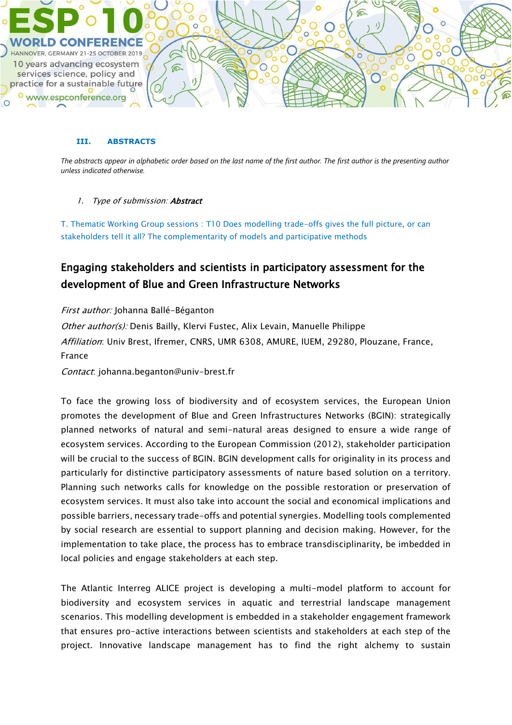

#### **III. ABSTRACTS**

*The abstracts appear in alphabetic order based on the last name of the first author. The first author is the presenting author unless indicated otherwise.*

#### 1. Type of submission: **Abstract**

T. Thematic Working Group sessions : T10 Does modelling trade-offs gives the full picture, or can stakeholders tell it all? The complementarity of models and participative methods

# Engaging stakeholders and scientists in participatory assessment for the development of Blue and Green Infrastructure Networks

First author: Johanna Ballé-Béganton Other author(s): Denis Bailly, Klervi Fustec, Alix Levain, Manuelle Philippe Affiliation: Univ Brest, Ifremer, CNRS, UMR 6308, AMURE, IUEM, 29280, Plouzane, France, France

Contact: johanna.beganton@univ-brest.fr

To face the growing loss of biodiversity and of ecosystem services, the European Union promotes the development of Blue and Green Infrastructures Networks (BGIN): strategically planned networks of natural and semi-natural areas designed to ensure a wide range of ecosystem services. According to the European Commission (2012), stakeholder participation will be crucial to the success of BGIN. BGIN development calls for originality in its process and particularly for distinctive participatory assessments of nature based solution on a territory. Planning such networks calls for knowledge on the possible restoration or preservation of ecosystem services. It must also take into account the social and economical implications and possible barriers, necessary trade-offs and potential synergies. Modelling tools complemented by social research are essential to support planning and decision making. However, for the implementation to take place, the process has to embrace transdisciplinarity, be imbedded in local policies and engage stakeholders at each step.

The Atlantic Interreg ALICE project is developing a multi-model platform to account for biodiversity and ecosystem services in aquatic and terrestrial landscape management scenarios. This modelling development is embedded in a stakeholder engagement framework that ensures pro-active interactions between scientists and stakeholders at each step of the project. Innovative landscape management has to find the right alchemy to sustain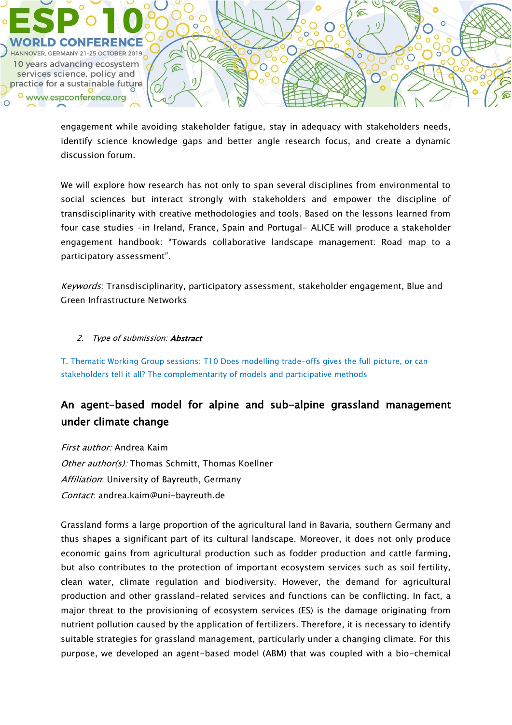

engagement while avoiding stakeholder fatigue, stay in adequacy with stakeholders needs, identify science knowledge gaps and better angle research focus, and create a dynamic discussion forum.

We will explore how research has not only to span several disciplines from environmental to social sciences but interact strongly with stakeholders and empower the discipline of transdisciplinarity with creative methodologies and tools. Based on the lessons learned from four case studies -in Ireland, France, Spain and Portugal- ALICE will produce a stakeholder engagement handbook: "Towards collaborative landscape management: Road map to a participatory assessment".

Keywords: Transdisciplinarity, participatory assessment, stakeholder engagement, Blue and Green Infrastructure Networks

#### 2. Type of submission: **Abstract**

T. Thematic Working Group sessions: T10 Does modelling trade-offs gives the full picture, or can stakeholders tell it all? The complementarity of models and participative methods

# An agent-based model for alpine and sub-alpine grassland management under climate change

First author: Andrea Kaim Other author(s): Thomas Schmitt, Thomas Koellner Affiliation: University of Bayreuth, Germany Contact: andrea.kaim@uni-bayreuth.de

Grassland forms a large proportion of the agricultural land in Bavaria, southern Germany and thus shapes a significant part of its cultural landscape. Moreover, it does not only produce economic gains from agricultural production such as fodder production and cattle farming, but also contributes to the protection of important ecosystem services such as soil fertility, clean water, climate regulation and biodiversity. However, the demand for agricultural production and other grassland-related services and functions can be conflicting. In fact, a major threat to the provisioning of ecosystem services (ES) is the damage originating from nutrient pollution caused by the application of fertilizers. Therefore, it is necessary to identify suitable strategies for grassland management, particularly under a changing climate. For this purpose, we developed an agent-based model (ABM) that was coupled with a bio-chemical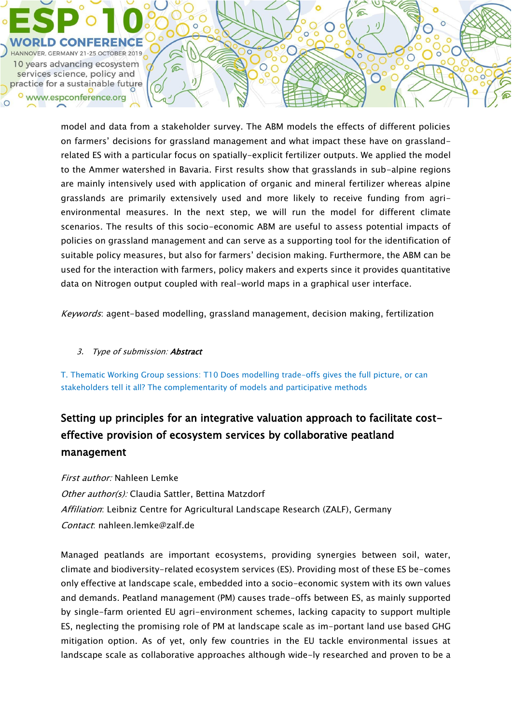

model and data from a stakeholder survey. The ABM models the effects of different policies on farmers' decisions for grassland management and what impact these have on grasslandrelated ES with a particular focus on spatially-explicit fertilizer outputs. We applied the model to the Ammer watershed in Bavaria. First results show that grasslands in sub-alpine regions are mainly intensively used with application of organic and mineral fertilizer whereas alpine grasslands are primarily extensively used and more likely to receive funding from agrienvironmental measures. In the next step, we will run the model for different climate scenarios. The results of this socio-economic ABM are useful to assess potential impacts of policies on grassland management and can serve as a supporting tool for the identification of suitable policy measures, but also for farmers' decision making. Furthermore, the ABM can be used for the interaction with farmers, policy makers and experts since it provides quantitative data on Nitrogen output coupled with real-world maps in a graphical user interface.

Keywords: agent-based modelling, grassland management, decision making, fertilization

## 3. Type of submission: **Abstract**

 $\sqrt{n}$ 

T. Thematic Working Group sessions: T10 Does modelling trade-offs gives the full picture, or can stakeholders tell it all? The complementarity of models and participative methods

# Setting up principles for an integrative valuation approach to facilitate costeffective provision of ecosystem services by collaborative peatland management

First author: Nahleen Lemke Other author(s): Claudia Sattler, Bettina Matzdorf Affiliation: Leibniz Centre for Agricultural Landscape Research (ZALF), Germany Contact: nahleen.lemke@zalf.de

Managed peatlands are important ecosystems, providing synergies between soil, water, climate and biodiversity-related ecosystem services (ES). Providing most of these ES be-comes only effective at landscape scale, embedded into a socio-economic system with its own values and demands. Peatland management (PM) causes trade-offs between ES, as mainly supported by single-farm oriented EU agri-environment schemes, lacking capacity to support multiple ES, neglecting the promising role of PM at landscape scale as im-portant land use based GHG mitigation option. As of yet, only few countries in the EU tackle environmental issues at landscape scale as collaborative approaches although wide-ly researched and proven to be a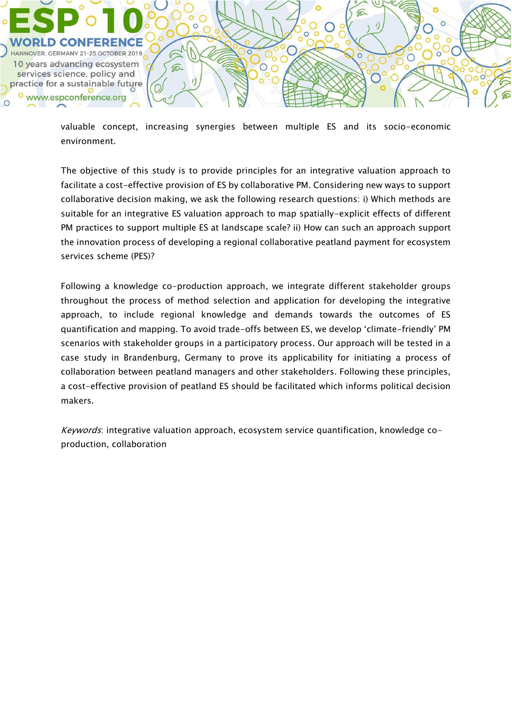

valuable concept, increasing synergies between multiple ES and its socio-economic environment.

 $\sqrt{n}$ 

 $\subset$ 

⋒

ō

O

The objective of this study is to provide principles for an integrative valuation approach to facilitate a cost-effective provision of ES by collaborative PM. Considering new ways to support collaborative decision making, we ask the following research questions: i) Which methods are suitable for an integrative ES valuation approach to map spatially-explicit effects of different PM practices to support multiple ES at landscape scale? ii) How can such an approach support the innovation process of developing a regional collaborative peatland payment for ecosystem services scheme (PES)?

Following a knowledge co-production approach, we integrate different stakeholder groups throughout the process of method selection and application for developing the integrative approach, to include regional knowledge and demands towards the outcomes of ES quantification and mapping. To avoid trade-offs between ES, we develop 'climate-friendly' PM scenarios with stakeholder groups in a participatory process. Our approach will be tested in a case study in Brandenburg, Germany to prove its applicability for initiating a process of collaboration between peatland managers and other stakeholders. Following these principles, a cost-effective provision of peatland ES should be facilitated which informs political decision makers.

Keywords: integrative valuation approach, ecosystem service quantification, knowledge coproduction, collaboration